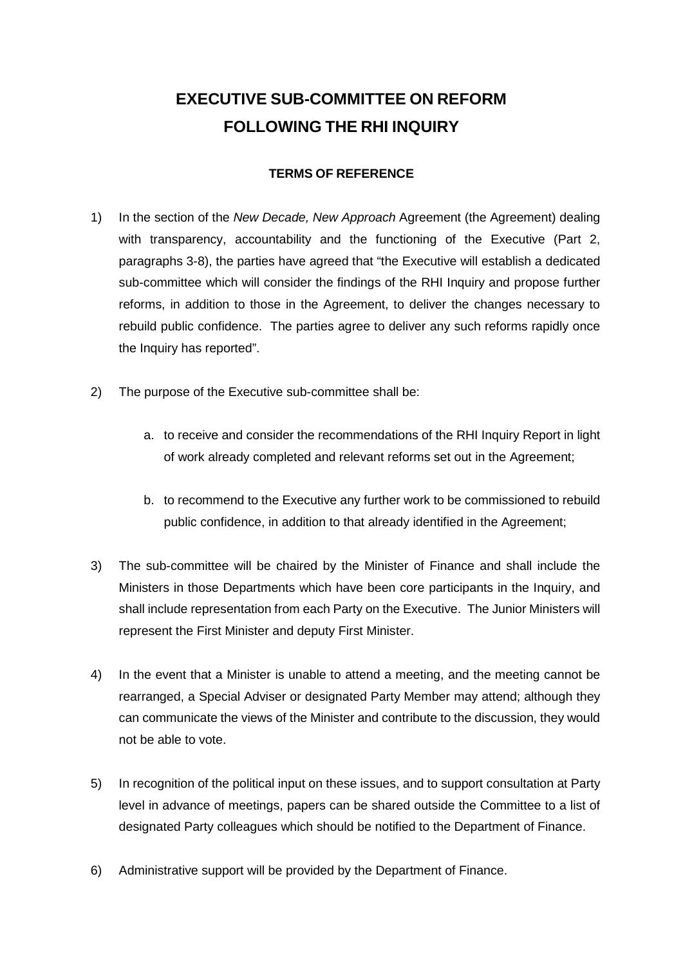## **EXECUTIVE SUB-COMMITTEE ON REFORM FOLLOWING THE RHI INQUIRY**

## **TERMS OF REFERENCE**

- 1) In the section of the *New Decade, New Approach* Agreement (the Agreement) dealing with transparency, accountability and the functioning of the Executive (Part 2, paragraphs 3-8), the parties have agreed that "the Executive will establish a dedicated sub-committee which will consider the findings of the RHI Inquiry and propose further reforms, in addition to those in the Agreement, to deliver the changes necessary to rebuild public confidence. The parties agree to deliver any such reforms rapidly once the Inquiry has reported".
- 2) The purpose of the Executive sub-committee shall be:
	- a. to receive and consider the recommendations of the RHI Inquiry Report in light of work already completed and relevant reforms set out in the Agreement;
	- b. to recommend to the Executive any further work to be commissioned to rebuild public confidence, in addition to that already identified in the Agreement;
- 3) The sub-committee will be chaired by the Minister of Finance and shall include the Ministers in those Departments which have been core participants in the Inquiry, and shall include representation from each Party on the Executive. The Junior Ministers will represent the First Minister and deputy First Minister.
- 4) In the event that a Minister is unable to attend a meeting, and the meeting cannot be rearranged, a Special Adviser or designated Party Member may attend; although they can communicate the views of the Minister and contribute to the discussion, they would not be able to vote.
- 5) In recognition of the political input on these issues, and to support consultation at Party level in advance of meetings, papers can be shared outside the Committee to a list of designated Party colleagues which should be notified to the Department of Finance.
- 6) Administrative support will be provided by the Department of Finance.